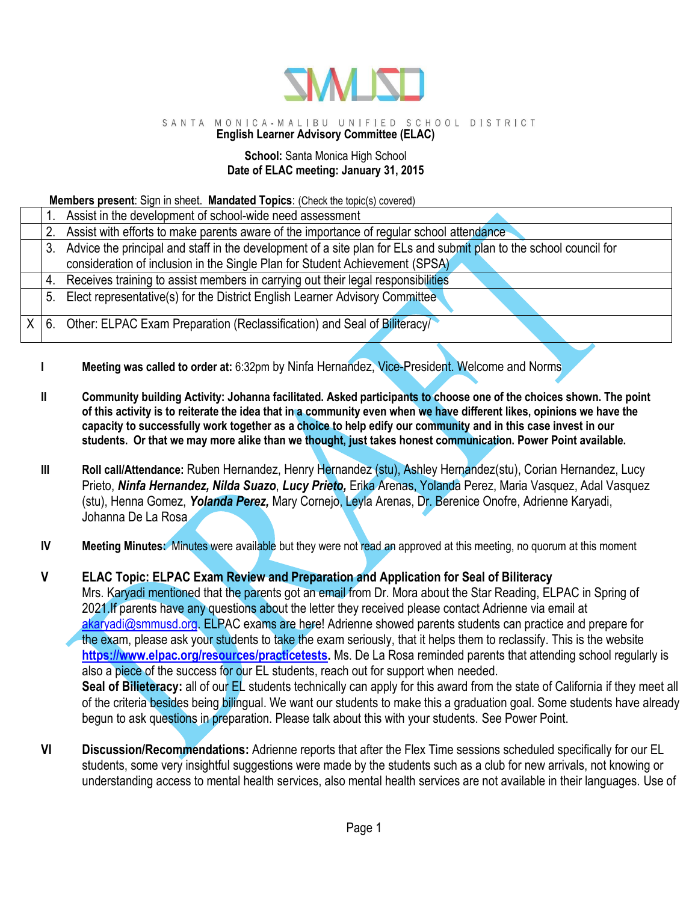

## SANTA MONICA-MALIBU UNIFIED SCHOOL DISTRICT

# **English Learner Advisory Committee (ELAC)**

#### **School:** Santa Monica High School **Date of ELAC meeting: January 31, 2015**

### **Members present**: Sign in sheet. **Mandated Topics**: (Check the topic(s) covered)

|  | Assist in the development of school-wide need assessment                                                              |
|--|-----------------------------------------------------------------------------------------------------------------------|
|  | Assist with efforts to make parents aware of the importance of regular school attendance                              |
|  | 3. Advice the principal and staff in the development of a site plan for ELs and submit plan to the school council for |
|  | consideration of inclusion in the Single Plan for Student Achievement (SPSA)                                          |
|  | 4. Receives training to assist members in carrying out their legal responsibilities                                   |
|  | 5. Elect representative(s) for the District English Learner Advisory Committee                                        |
|  |                                                                                                                       |
|  | $X \mid 6$ . Other: ELPAC Exam Preparation (Reclassification) and Seal of Biliteracy/                                 |
|  |                                                                                                                       |

- **I** Meeting was called to order at: 6:32pm by Ninfa Hernandez, Vice-President. Welcome and Norms
- **II Community building Activity: Johanna facilitated. Asked participants to choose one of the choices shown. The point of this activity is to reiterate the idea that in a community even when we have different likes, opinions we have the capacity to successfully work together as a choice to help edify our community and in this case invest in our students. Or that we may more alike than we thought, just takes honest communication. Power Point available.**
- **III Roll call/Attendance:** Ruben Hernandez, Henry Hernandez (stu), Ashley Hernandez(stu), Corian Hernandez, Lucy Prieto, *Ninfa Hernandez, Nilda Suazo*, *Lucy Prieto,* Erika Arenas, Yolanda Perez, Maria Vasquez, Adal Vasquez (stu), Henna Gomez, *Yolanda Perez,* Mary Cornejo, Leyla Arenas, Dr. Berenice Onofre, Adrienne Karyadi, Johanna De La Rosa
- **IV Meeting Minutes:** Minutes were available but they were not read an approved at this meeting, no quorum at this moment

**V ELAC Topic: ELPAC Exam Review and Preparation and Application for Seal of Biliteracy** Mrs. Karyadi mentioned that the parents got an email from Dr. Mora about the Star Reading, ELPAC in Spring of 2021.If parents have any questions about the letter they received please contact Adrienne via email at [akaryadi@smmusd.org.](mailto:akaryadi@smmusd.org) ELPAC exams are here! Adrienne showed parents students can practice and prepare for the exam, please ask your students to take the exam seriously, that it helps them to reclassify. This is the website **[https://www.elpac.org/resources/practicetests.](https://www.elpac.org/resources/practicetests)** Ms. De La Rosa reminded parents that attending school regularly is also a piece of the success for our EL students, reach out for support when needed. **Seal of Bilieteracy:** all of our EL students technically can apply for this award from the state of California if they meet all of the criteria besides being bilingual. We want our students to make this a graduation goal. Some students have already begun to ask questions in preparation. Please talk about this with your students. See Power Point.

**VI Discussion/Recommendations:** Adrienne reports that after the Flex Time sessions scheduled specifically for our EL students, some very insightful suggestions were made by the students such as a club for new arrivals, not knowing or understanding access to mental health services, also mental health services are not available in their languages. Use of